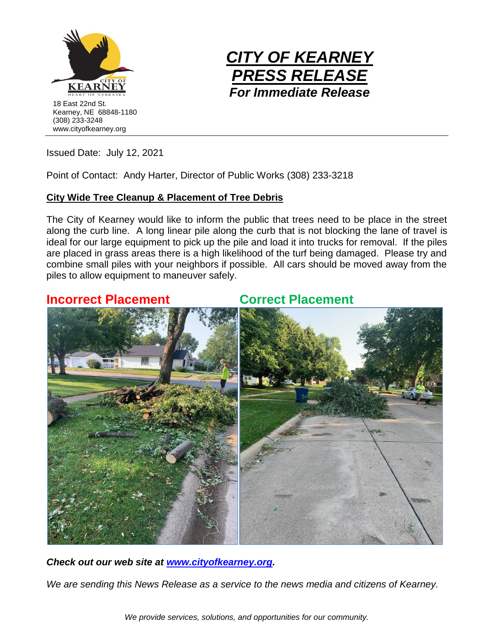



Issued Date: July 12, 2021

Point of Contact: Andy Harter, Director of Public Works (308) 233-3218

## **City Wide Tree Cleanup & Placement of Tree Debris**

The City of Kearney would like to inform the public that trees need to be place in the street along the curb line. A long linear pile along the curb that is not blocking the lane of travel is ideal for our large equipment to pick up the pile and load it into trucks for removal. If the piles are placed in grass areas there is a high likelihood of the turf being damaged. Please try and combine small piles with your neighbors if possible. All cars should be moved away from the piles to allow equipment to maneuver safely.

## **Incorrect Placement Correct Placement**



*Check out our web site at [www.cityofkearney.org.](http://www.cityofkearney.org/)*

*We are sending this News Release as a service to the news media and citizens of Kearney.*

*We provide services, solutions, and opportunities for our community.*